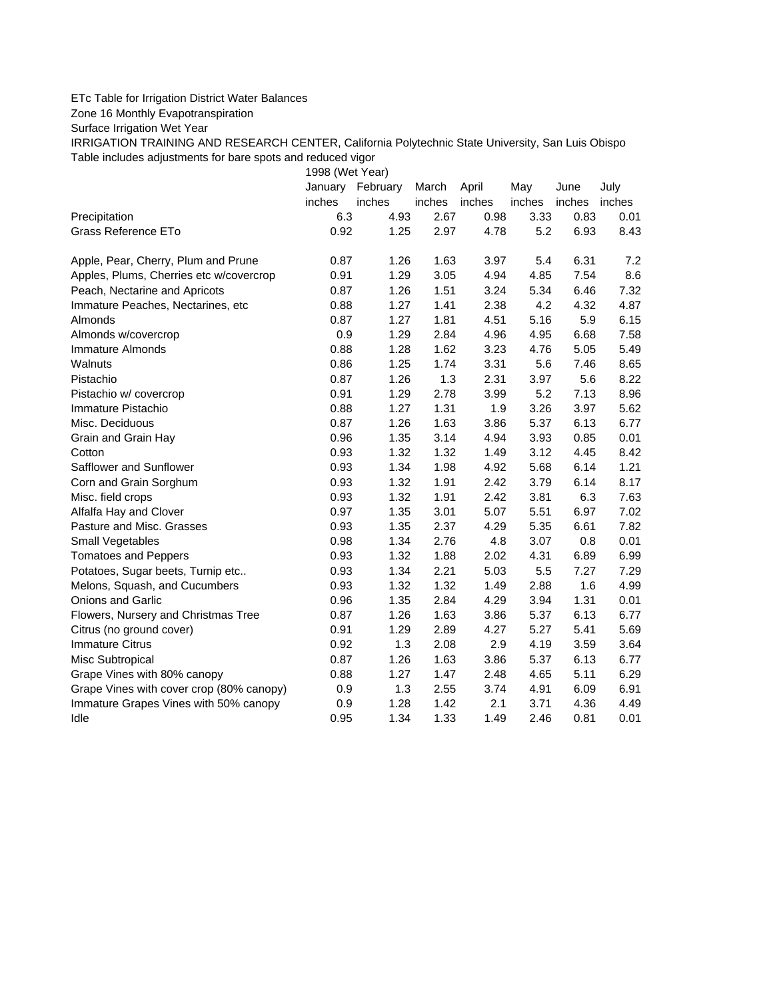## ETc Table for Irrigation District Water Balances

Zone 16 Monthly Evapotranspiration

Surface Irrigation Wet Year

IRRIGATION TRAINING AND RESEARCH CENTER, California Polytechnic State University, San Luis Obispo Table includes adjustments for bare spots and reduced vigor

1998 (Wet Year)

|                                          | January | February | March  | April  | May    | June   | July   |
|------------------------------------------|---------|----------|--------|--------|--------|--------|--------|
|                                          | inches  | inches   | inches | inches | inches | inches | inches |
| Precipitation                            | 6.3     | 4.93     | 2.67   | 0.98   | 3.33   | 0.83   | 0.01   |
| Grass Reference ETo                      | 0.92    | 1.25     | 2.97   | 4.78   | 5.2    | 6.93   | 8.43   |
| Apple, Pear, Cherry, Plum and Prune      | 0.87    | 1.26     | 1.63   | 3.97   | 5.4    | 6.31   | 7.2    |
| Apples, Plums, Cherries etc w/covercrop  | 0.91    | 1.29     | 3.05   | 4.94   | 4.85   | 7.54   | 8.6    |
| Peach, Nectarine and Apricots            | 0.87    | 1.26     | 1.51   | 3.24   | 5.34   | 6.46   | 7.32   |
| Immature Peaches, Nectarines, etc        | 0.88    | 1.27     | 1.41   | 2.38   | 4.2    | 4.32   | 4.87   |
| Almonds                                  | 0.87    | 1.27     | 1.81   | 4.51   | 5.16   | 5.9    | 6.15   |
| Almonds w/covercrop                      | 0.9     | 1.29     | 2.84   | 4.96   | 4.95   | 6.68   | 7.58   |
| Immature Almonds                         | 0.88    | 1.28     | 1.62   | 3.23   | 4.76   | 5.05   | 5.49   |
| <b>Walnuts</b>                           | 0.86    | 1.25     | 1.74   | 3.31   | 5.6    | 7.46   | 8.65   |
| Pistachio                                | 0.87    | 1.26     | 1.3    | 2.31   | 3.97   | 5.6    | 8.22   |
| Pistachio w/ covercrop                   | 0.91    | 1.29     | 2.78   | 3.99   | 5.2    | 7.13   | 8.96   |
| Immature Pistachio                       | 0.88    | 1.27     | 1.31   | 1.9    | 3.26   | 3.97   | 5.62   |
| Misc. Deciduous                          | 0.87    | 1.26     | 1.63   | 3.86   | 5.37   | 6.13   | 6.77   |
| Grain and Grain Hay                      | 0.96    | 1.35     | 3.14   | 4.94   | 3.93   | 0.85   | 0.01   |
| Cotton                                   | 0.93    | 1.32     | 1.32   | 1.49   | 3.12   | 4.45   | 8.42   |
| Safflower and Sunflower                  | 0.93    | 1.34     | 1.98   | 4.92   | 5.68   | 6.14   | 1.21   |
| Corn and Grain Sorghum                   | 0.93    | 1.32     | 1.91   | 2.42   | 3.79   | 6.14   | 8.17   |
| Misc. field crops                        | 0.93    | 1.32     | 1.91   | 2.42   | 3.81   | 6.3    | 7.63   |
| Alfalfa Hay and Clover                   | 0.97    | 1.35     | 3.01   | 5.07   | 5.51   | 6.97   | 7.02   |
| Pasture and Misc. Grasses                | 0.93    | 1.35     | 2.37   | 4.29   | 5.35   | 6.61   | 7.82   |
| Small Vegetables                         | 0.98    | 1.34     | 2.76   | 4.8    | 3.07   | 0.8    | 0.01   |
| <b>Tomatoes and Peppers</b>              | 0.93    | 1.32     | 1.88   | 2.02   | 4.31   | 6.89   | 6.99   |
| Potatoes, Sugar beets, Turnip etc        | 0.93    | 1.34     | 2.21   | 5.03   | 5.5    | 7.27   | 7.29   |
| Melons, Squash, and Cucumbers            | 0.93    | 1.32     | 1.32   | 1.49   | 2.88   | 1.6    | 4.99   |
| Onions and Garlic                        | 0.96    | 1.35     | 2.84   | 4.29   | 3.94   | 1.31   | 0.01   |
| Flowers, Nursery and Christmas Tree      | 0.87    | 1.26     | 1.63   | 3.86   | 5.37   | 6.13   | 6.77   |
| Citrus (no ground cover)                 | 0.91    | 1.29     | 2.89   | 4.27   | 5.27   | 5.41   | 5.69   |
| <b>Immature Citrus</b>                   | 0.92    | 1.3      | 2.08   | 2.9    | 4.19   | 3.59   | 3.64   |
| Misc Subtropical                         | 0.87    | 1.26     | 1.63   | 3.86   | 5.37   | 6.13   | 6.77   |
| Grape Vines with 80% canopy              | 0.88    | 1.27     | 1.47   | 2.48   | 4.65   | 5.11   | 6.29   |
| Grape Vines with cover crop (80% canopy) | 0.9     | 1.3      | 2.55   | 3.74   | 4.91   | 6.09   | 6.91   |
| Immature Grapes Vines with 50% canopy    | 0.9     | 1.28     | 1.42   | 2.1    | 3.71   | 4.36   | 4.49   |
| Idle                                     | 0.95    | 1.34     | 1.33   | 1.49   | 2.46   | 0.81   | 0.01   |